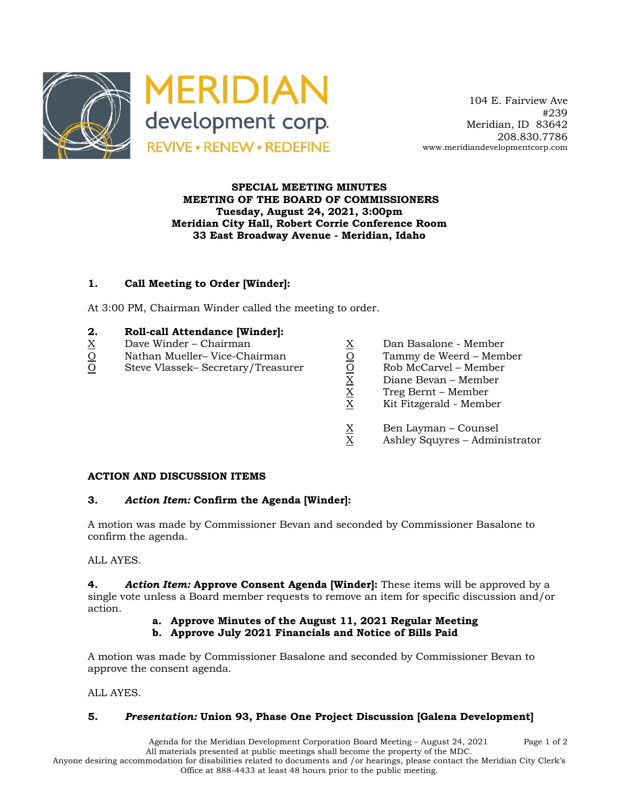

 104 E. Fairview Ave #239 Meridian, ID 83642 208.830.7786 www.meridiandevelopmentcorp.com

## **SPECIAL MEETING MINUTES MEETING OF THE BOARD OF COMMISSIONERS Tuesday, August 24, 2021, 3:00pm Meridian City Hall, Robert Corrie Conference Room 33 East Broadway Avenue - Meridian, Idaho**

# **1. Call Meeting to Order [Winder]:**

At 3:00 PM, Chairman Winder called the meeting to order.

#### **2. Roll-call Attendance [Winder]:**

- $\underline{X}$  Dave Winder Chairman  $\underline{X}$  Dan Basalone Member
- 
- $\begin{array}{lll} \underline{\rm O} & & \text{Nathan Mueller}-\text{Vice-Chairman} & & \underline{\rm O} & & \text{Tammy de Weerd -- Member} \ \hline \\ \underline{\rm O} & & \text{Steve Vlassek}-\text{Secretary/Treasure} & & \underline{\rm O} & & \text{Rob McCarvel -- Member} \ \hline \\ & \underline{\rm X} & & \text{Diane Bevan -- Member} & & \text{Treg Bernt -- Member} \ \hline \\ & & \underline{\rm X} & & \text{Kit Fitzgerald -- Member} \end{array}$ O Steve Vlassek– Secretary/Treasurer
- 
- -
	- Diane Bevan Member
	- X Treg Bernt Member
	- X Kit Fitzgerald Member
	- $\frac{X}{X}$  Ben Layman Counsel<br>X Ashlev Squvres Admir
	- Ashley Squyres Administrator

#### **ACTION AND DISCUSSION ITEMS**

#### **3.** *Action Item:* **Confirm the Agenda [Winder]:**

A motion was made by Commissioner Bevan and seconded by Commissioner Basalone to confirm the agenda.

ALL AYES.

**4.** *Action Item:* **Approve Consent Agenda [Winder]:** These items will be approved by a single vote unless a Board member requests to remove an item for specific discussion and/or action.

# **a. Approve Minutes of the August 11, 2021 Regular Meeting**

**b. Approve July 2021 Financials and Notice of Bills Paid**

A motion was made by Commissioner Basalone and seconded by Commissioner Bevan to approve the consent agenda.

ALL AYES.

# **5.** *Presentation:* **Union 93, Phase One Project Discussion [Galena Development]**

Agenda for the Meridian Development Corporation Board Meeting – August 24, 2021 Page 1 of 2 All materials presented at public meetings shall become the property of the MDC.

Anyone desiring accommodation for disabilities related to documents and /or hearings, please contact the Meridian City Clerk's Office at 888-4433 at least 48 hours prior to the public meeting.